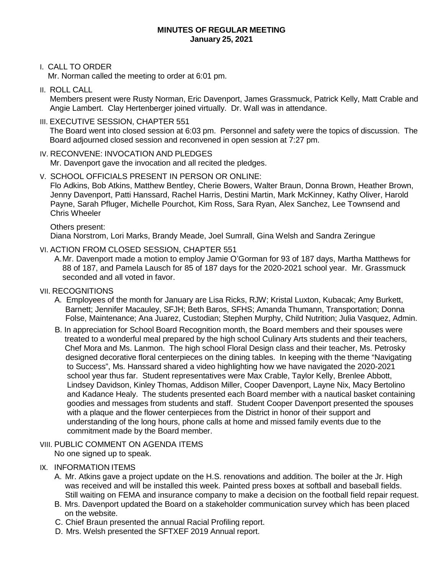#### **MINUTES OF REGULAR MEETING January 25, 2021**

#### I. CALL TO ORDER

Mr. Norman called the meeting to order at 6:01 pm.

II. ROLL CALL

Members present were Rusty Norman, Eric Davenport, James Grassmuck, Patrick Kelly, Matt Crable and Angie Lambert. Clay Hertenberger joined virtually. Dr. Wall was in attendance.

#### III. EXECUTIVE SESSION, CHAPTER 551

The Board went into closed session at 6:03 pm. Personnel and safety were the topics of discussion. The Board adjourned closed session and reconvened in open session at 7:27 pm.

### IV. RECONVENE: INVOCATION AND PLEDGES

Mr. Davenport gave the invocation and all recited the pledges.

V. SCHOOL OFFICIALS PRESENT IN PERSON OR ONLINE: Flo Adkins, Bob Atkins, Matthew Bentley, Cherie Bowers, Walter Braun, Donna Brown, Heather Brown, Jenny Davenport, Patti Hanssard, Rachel Harris, Destini Martin, Mark McKinney, Kathy Oliver, Harold Payne, Sarah Pfluger, Michelle Pourchot, Kim Ross, Sara Ryan, Alex Sanchez, Lee Townsend and Chris Wheeler

Others present: Diana Norstrom, Lori Marks, Brandy Meade, Joel Sumrall, Gina Welsh and Sandra Zeringue

VI. ACTION FROM CLOSED SESSION, CHAPTER 551

A.Mr. Davenport made a motion to employ Jamie O'Gorman for 93 of 187 days, Martha Matthews for 88 of 187, and Pamela Lausch for 85 of 187 days for the 2020-2021 school year. Mr. Grassmuck seconded and all voted in favor.

- VII. RECOGNITIONS
	- A. Employees of the month for January are Lisa Ricks, RJW; Kristal Luxton, Kubacak; Amy Burkett, Barnett; Jennifer Macauley, SFJH; Beth Baros, SFHS; Amanda Thumann, Transportation; Donna Folse, Maintenance; Ana Juarez, Custodian; Stephen Murphy, Child Nutrition; Julia Vasquez, Admin.
	- B. In appreciation for School Board Recognition month, the Board members and their spouses were treated to a wonderful meal prepared by the high school Culinary Arts students and their teachers, Chef Mora and Ms. Lanmon. The high school Floral Design class and their teacher, Ms. Petrosky designed decorative floral centerpieces on the dining tables. In keeping with the theme "Navigating to Success", Ms. Hanssard shared a video highlighting how we have navigated the 2020-2021 school year thus far. Student representatives were Max Crable, Taylor Kelly, Brenlee Abbott, Lindsey Davidson, Kinley Thomas, Addison Miller, Cooper Davenport, Layne Nix, Macy Bertolino and Kadance Healy. The students presented each Board member with a nautical basket containing goodies and messages from students and staff. Student Cooper Davenport presented the spouses with a plaque and the flower centerpieces from the District in honor of their support and understanding of the long hours, phone calls at home and missed family events due to the commitment made by the Board member.
- VIII. PUBLIC COMMENT ON AGENDA ITEMS No one signed up to speak.
- IX. INFORMATION ITEMS
	- A. Mr. Atkins gave a project update on the H.S. renovations and addition. The boiler at the Jr. High was received and will be installed this week. Painted press boxes at softball and baseball fields. Still waiting on FEMA and insurance company to make a decision on the football field repair request.
	- B. Mrs. Davenport updated the Board on a stakeholder communication survey which has been placed on the website.
	- C. Chief Braun presented the annual Racial Profiling report.
	- D. Mrs. Welsh presented the SFTXEF 2019 Annual report.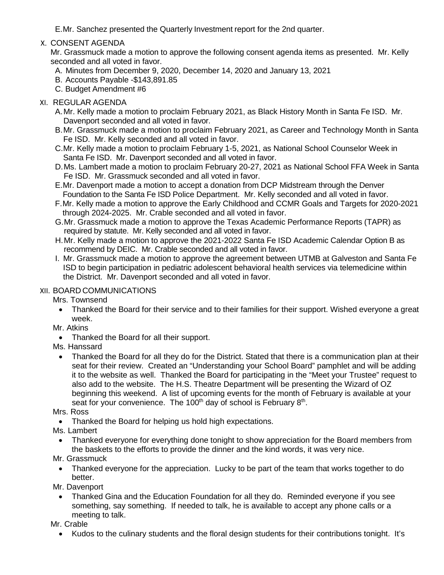E.Mr. Sanchez presented the Quarterly Investment report for the 2nd quarter.

# X. CONSENT AGENDA

Mr. Grassmuck made a motion to approve the following consent agenda items as presented. Mr. Kelly seconded and all voted in favor.

- A. Minutes from December 9, 2020, December 14, 2020 and January 13, 2021
- B. Accounts Payable -\$143,891.85
- C. Budget Amendment #6

### XI. REGULAR AGENDA

- A.Mr. Kelly made a motion to proclaim February 2021, as Black History Month in Santa Fe ISD. Mr. Davenport seconded and all voted in favor.
- B.Mr. Grassmuck made a motion to proclaim February 2021, as Career and Technology Month in Santa Fe ISD. Mr. Kelly seconded and all voted in favor.
- C.Mr. Kelly made a motion to proclaim February 1-5, 2021, as National School Counselor Week in Santa Fe ISD. Mr. Davenport seconded and all voted in favor.
- D.Ms. Lambert made a motion to proclaim February 20-27, 2021 as National School FFA Week in Santa Fe ISD. Mr. Grassmuck seconded and all voted in favor.
- E.Mr. Davenport made a motion to accept a donation from DCP Midstream through the Denver Foundation to the Santa Fe ISD Police Department. Mr. Kelly seconded and all voted in favor.
- F.Mr. Kelly made a motion to approve the Early Childhood and CCMR Goals and Targets for 2020-2021 through 2024-2025. Mr. Crable seconded and all voted in favor.
- G.Mr. Grassmuck made a motion to approve the Texas Academic Performance Reports (TAPR) as required by statute. Mr. Kelly seconded and all voted in favor.
- H.Mr. Kelly made a motion to approve the 2021-2022 Santa Fe ISD Academic Calendar Option B as recommend by DEIC. Mr. Crable seconded and all voted in favor.
- I. Mr. Grassmuck made a motion to approve the agreement between UTMB at Galveston and Santa Fe ISD to begin participation in pediatric adolescent behavioral health services via telemedicine within the District. Mr. Davenport seconded and all voted in favor.

# XII. BOARD COMMUNICATIONS

Mrs. Townsend

- Thanked the Board for their service and to their families for their support. Wished everyone a great week.
- Mr. Atkins
	- Thanked the Board for all their support.
- Ms. Hanssard
	- Thanked the Board for all they do for the District. Stated that there is a communication plan at their seat for their review. Created an "Understanding your School Board" pamphlet and will be adding it to the website as well. Thanked the Board for participating in the "Meet your Trustee" request to also add to the website. The H.S. Theatre Department will be presenting the Wizard of OZ beginning this weekend. A list of upcoming events for the month of February is available at your seat for your convenience. The 100<sup>th</sup> day of school is February  $8<sup>th</sup>$ .

Mrs. Ross

- Thanked the Board for helping us hold high expectations.
- Ms. Lambert
- Thanked everyone for everything done tonight to show appreciation for the Board members from the baskets to the efforts to provide the dinner and the kind words, it was very nice.
- Mr. Grassmuck
	- Thanked everyone for the appreciation. Lucky to be part of the team that works together to do better.

Mr. Davenport

• Thanked Gina and the Education Foundation for all they do. Reminded everyone if you see something, say something. If needed to talk, he is available to accept any phone calls or a meeting to talk.

Mr. Crable

• Kudos to the culinary students and the floral design students for their contributions tonight. It's